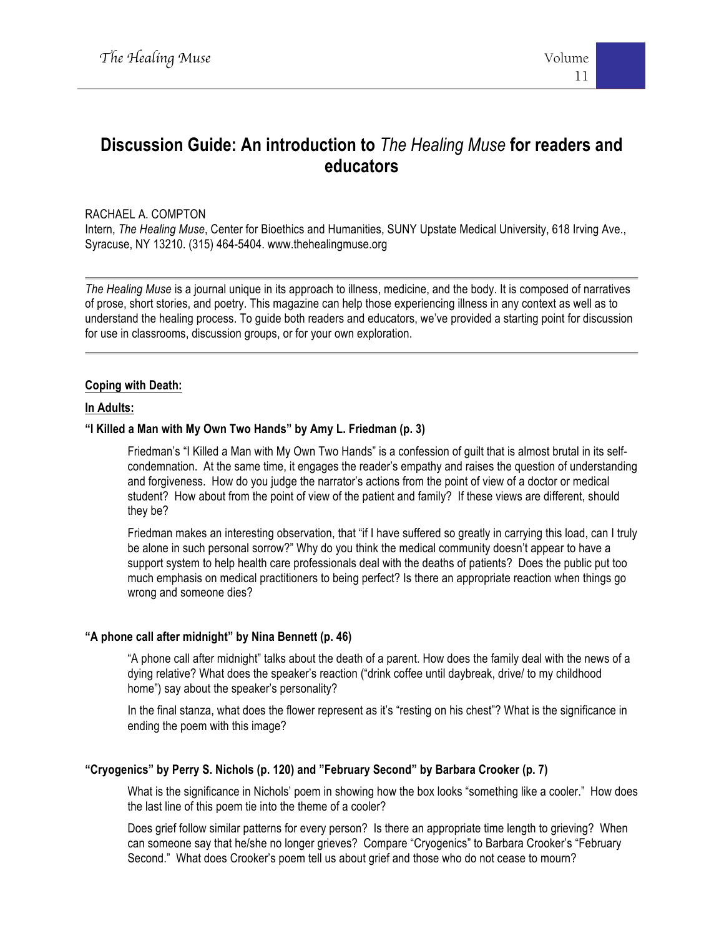# **Discussion Guide: An introduction to** *The Healing Muse* **for readers and educators**

# RACHAEL A. COMPTON

Intern, *The Healing Muse*, Center for Bioethics and Humanities, SUNY Upstate Medical University, 618 Irving Ave., Syracuse, NY 13210. (315) 464-5404. www.thehealingmuse.org

*The Healing Muse* is a journal unique in its approach to illness, medicine, and the body. It is composed of narratives of prose, short stories, and poetry. This magazine can help those experiencing illness in any context as well as to understand the healing process. To guide both readers and educators, we've provided a starting point for discussion for use in classrooms, discussion groups, or for your own exploration.

# **Coping with Death:**

# **In Adults:**

# **"I Killed a Man with My Own Two Hands" by Amy L. Friedman (p. 3)**

Friedman's "I Killed a Man with My Own Two Hands" is a confession of guilt that is almost brutal in its selfcondemnation. At the same time, it engages the reader's empathy and raises the question of understanding and forgiveness. How do you judge the narrator's actions from the point of view of a doctor or medical student? How about from the point of view of the patient and family? If these views are different, should they be?

Friedman makes an interesting observation, that "if I have suffered so greatly in carrying this load, can I truly be alone in such personal sorrow?" Why do you think the medical community doesn't appear to have a support system to help health care professionals deal with the deaths of patients? Does the public put too much emphasis on medical practitioners to being perfect? Is there an appropriate reaction when things go wrong and someone dies?

# **"A phone call after midnight" by Nina Bennett (p. 46)**

"A phone call after midnight" talks about the death of a parent. How does the family deal with the news of a dying relative? What does the speaker's reaction ("drink coffee until daybreak, drive/ to my childhood home") say about the speaker's personality?

In the final stanza, what does the flower represent as it's "resting on his chest"? What is the significance in ending the poem with this image?

# **"Cryogenics" by Perry S. Nichols (p. 120) and "February Second" by Barbara Crooker (p. 7)**

What is the significance in Nichols' poem in showing how the box looks "something like a cooler." How does the last line of this poem tie into the theme of a cooler?

Does grief follow similar patterns for every person? Is there an appropriate time length to grieving? When can someone say that he/she no longer grieves? Compare "Cryogenics" to Barbara Crooker's "February Second." What does Crooker's poem tell us about grief and those who do not cease to mourn?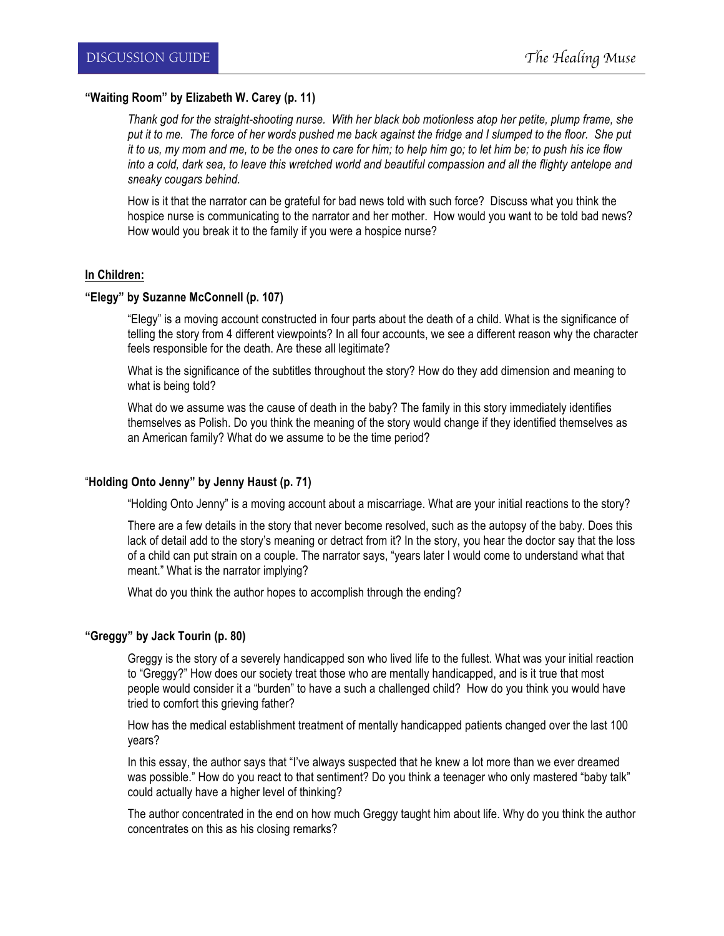# **"Waiting Room" by Elizabeth W. Carey (p. 11)**

*Thank god for the straight-shooting nurse. With her black bob motionless atop her petite, plump frame, she*  put it to me. The force of her words pushed me back against the fridge and I slumped to the floor. She put *it to us, my mom and me, to be the ones to care for him; to help him go; to let him be; to push his ice flow into a cold, dark sea, to leave this wretched world and beautiful compassion and all the flighty antelope and sneaky cougars behind.*

How is it that the narrator can be grateful for bad news told with such force? Discuss what you think the hospice nurse is communicating to the narrator and her mother. How would you want to be told bad news? How would you break it to the family if you were a hospice nurse?

## **In Children:**

## **"Elegy" by Suzanne McConnell (p. 107)**

"Elegy" is a moving account constructed in four parts about the death of a child. What is the significance of telling the story from 4 different viewpoints? In all four accounts, we see a different reason why the character feels responsible for the death. Are these all legitimate?

What is the significance of the subtitles throughout the story? How do they add dimension and meaning to what is being told?

What do we assume was the cause of death in the baby? The family in this story immediately identifies themselves as Polish. Do you think the meaning of the story would change if they identified themselves as an American family? What do we assume to be the time period?

# "**Holding Onto Jenny" by Jenny Haust (p. 71)**

"Holding Onto Jenny" is a moving account about a miscarriage. What are your initial reactions to the story?

There are a few details in the story that never become resolved, such as the autopsy of the baby. Does this lack of detail add to the story's meaning or detract from it? In the story, you hear the doctor say that the loss of a child can put strain on a couple. The narrator says, "years later I would come to understand what that meant." What is the narrator implying?

What do you think the author hopes to accomplish through the ending?

# **"Greggy" by Jack Tourin (p. 80)**

Greggy is the story of a severely handicapped son who lived life to the fullest. What was your initial reaction to "Greggy?" How does our society treat those who are mentally handicapped, and is it true that most people would consider it a "burden" to have a such a challenged child? How do you think you would have tried to comfort this grieving father?

How has the medical establishment treatment of mentally handicapped patients changed over the last 100 years?

In this essay, the author says that "I've always suspected that he knew a lot more than we ever dreamed was possible." How do you react to that sentiment? Do you think a teenager who only mastered "baby talk" could actually have a higher level of thinking?

The author concentrated in the end on how much Greggy taught him about life. Why do you think the author concentrates on this as his closing remarks?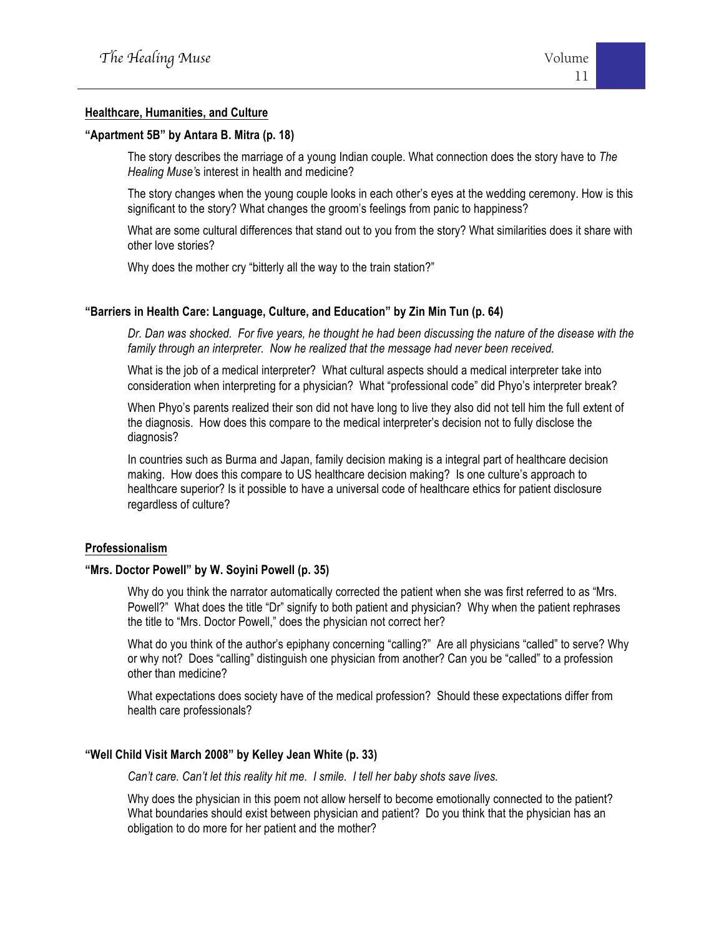# **Healthcare, Humanities, and Culture**

#### **"Apartment 5B" by Antara B. Mitra (p. 18)**

The story describes the marriage of a young Indian couple. What connection does the story have to *The Healing Muse'*s interest in health and medicine?

The story changes when the young couple looks in each other's eyes at the wedding ceremony. How is this significant to the story? What changes the groom's feelings from panic to happiness?

What are some cultural differences that stand out to you from the story? What similarities does it share with other love stories?

Why does the mother cry "bitterly all the way to the train station?"

## **"Barriers in Health Care: Language, Culture, and Education" by Zin Min Tun (p. 64)**

*Dr. Dan was shocked. For five years, he thought he had been discussing the nature of the disease with the family through an interpreter. Now he realized that the message had never been received.*

What is the job of a medical interpreter? What cultural aspects should a medical interpreter take into consideration when interpreting for a physician? What "professional code" did Phyo's interpreter break?

When Phyo's parents realized their son did not have long to live they also did not tell him the full extent of the diagnosis. How does this compare to the medical interpreter's decision not to fully disclose the diagnosis?

In countries such as Burma and Japan, family decision making is a integral part of healthcare decision making. How does this compare to US healthcare decision making? Is one culture's approach to healthcare superior? Is it possible to have a universal code of healthcare ethics for patient disclosure regardless of culture?

#### **Professionalism**

## **"Mrs. Doctor Powell" by W. Soyini Powell (p. 35)**

Why do you think the narrator automatically corrected the patient when she was first referred to as "Mrs. Powell?" What does the title "Dr" signify to both patient and physician? Why when the patient rephrases the title to "Mrs. Doctor Powell," does the physician not correct her?

What do you think of the author's epiphany concerning "calling?" Are all physicians "called" to serve? Why or why not? Does "calling" distinguish one physician from another? Can you be "called" to a profession other than medicine?

What expectations does society have of the medical profession? Should these expectations differ from health care professionals?

# **"Well Child Visit March 2008" by Kelley Jean White (p. 33)**

*Can't care. Can't let this reality hit me. I smile. I tell her baby shots save lives.*

Why does the physician in this poem not allow herself to become emotionally connected to the patient? What boundaries should exist between physician and patient? Do you think that the physician has an obligation to do more for her patient and the mother?